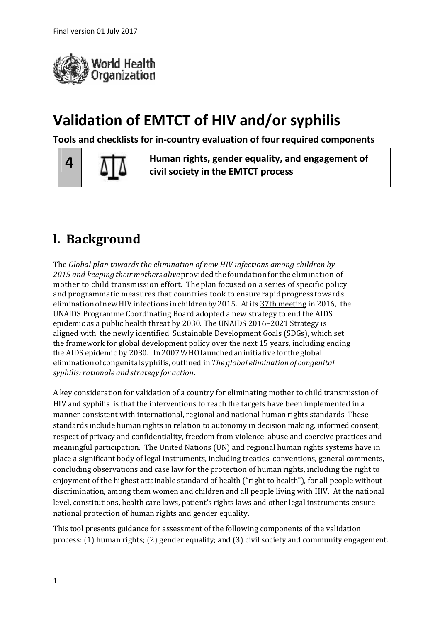

# **Validation of EMTCT of HIV and/or syphilis**

**Tools and checklists for in-country evaluation of four required components** 



**Human rights, gender equality, and engagement of civil society in the EMTCT process** 

# **l. Background**

The *Global plan towards the elimination of new HIV infections among children by 2015 and keeping their mothers alive* provided the foundation for the elimination of mother to child transmission effort. The plan focused on a series of specific policy and programmatic measures that countries took to ensure rapid progress towards elimination of new HIV infections in children by 2015. At its 37th meeting in 2016, the UNAIDS Programme Coordinating Board adopted a new strategy to end the AIDS epidemic as a public health threat by 2030. The UNAIDS 2016–2021 Strategy is aligned with the newly identified Sustainable Development Goals (SDGs), which set the framework for global development policy over the next 15 years, including ending the AIDS epidemic by 2030. In 2007 WHO launched an initiative for the global elimination of congenital syphilis, outlined in *The global elimination of congenital syphilis: rationale and strategy for action*.

A key consideration for validation of a country for eliminating mother to child transmission of HIV and syphilis is that the interventions to reach the targets have been implemented in a manner consistent with international, regional and national human rights standards. These standards include human rights in relation to autonomy in decision making, informed consent, respect of privacy and confidentiality, freedom from violence, abuse and coercive practices and meaningful participation. The United Nations (UN) and regional human rights systems have in place a significant body of legal instruments, including treaties, conventions, general comments, concluding observations and case law for the protection of human rights, including the right to enjoyment of the highest attainable standard of health ("right to health"), for all people without discrimination, among them women and children and all people living with HIV. At the national level, constitutions, health care laws, patient's rights laws and other legal instruments ensure national protection of human rights and gender equality.

This tool presents guidance for assessment of the following components of the validation process: (1) human rights; (2) gender equality; and (3) civil society and community engagement.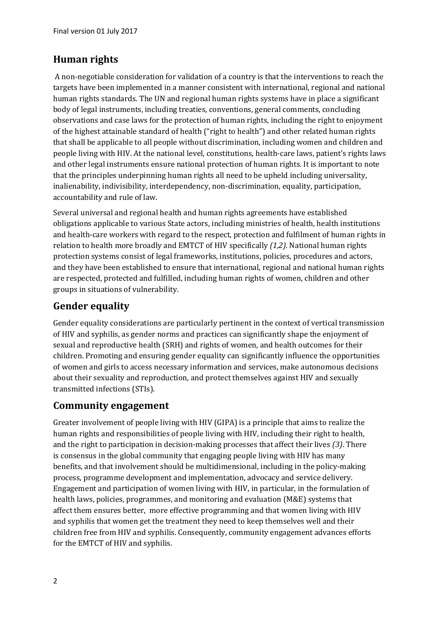## **Human rights**

A non-negotiable consideration for validation of a country is that the interventions to reach the targets have been implemented in a manner consistent with international, regional and national human rights standards. The UN and regional human rights systems have in place a significant body of legal instruments, including treaties, conventions, general comments, concluding observations and case laws for the protection of human rights, including the right to enjoyment of the highest attainable standard of health ("right to health") and other related human rights that shall be applicable to all people without discrimination, including women and children and people living with HIV. At the national level, constitutions, health-care laws, patient's rights laws and other legal instruments ensure national protection of human rights. It is important to note that the principles underpinning human rights all need to be upheld including universality, inalienability, indivisibility, interdependency, non-discrimination, equality, participation, accountability and rule of law.

Several universal and regional health and human rights agreements have established obligations applicable to various State actors, including ministries of health, health institutions and health-care workers with regard to the respect, protection and fulfilment of human rights in relation to health more broadly and EMTCT of HIV specifically *(1,2)*. National human rights protection systems consist of legal frameworks, institutions, policies, procedures and actors, and they have been established to ensure that international, regional and national human rights are respected, protected and fulfilled, including human rights of women, children and other groups in situations of vulnerability.

## **Gender equality**

Gender equality considerations are particularly pertinent in the context of vertical transmission of HIV and syphilis, as gender norms and practices can significantly shape the enjoyment of sexual and reproductive health (SRH) and rights of women, and health outcomes for their children. Promoting and ensuring gender equality can significantly influence the opportunities of women and girls to access necessary information and services, make autonomous decisions about their sexuality and reproduction, and protect themselves against HIV and sexually transmitted infections (STIs).

### **Community engagement**

Greater involvement of people living with HIV (GIPA) is a principle that aims to realize the human rights and responsibilities of people living with HIV, including their right to health, and the right to participation in decision-making processes that affect their lives *(3)*. There is consensus in the global community that engaging people living with HIV has many benefits, and that involvement should be multidimensional, including in the policy-making process, programme development and implementation, advocacy and service delivery. Engagement and participation of women living with HIV, in particular, in the formulation of health laws, policies, programmes, and monitoring and evaluation (M&E) systems that affect them ensures better, more effective programming and that women living with HIV and syphilis that women get the treatment they need to keep themselves well and their children free from HIV and syphilis. Consequently, community engagement advances efforts for the EMTCT of HIV and syphilis.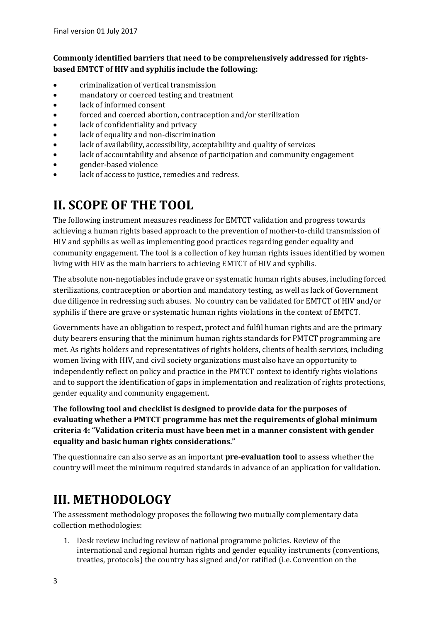#### **Commonly identified barriers that need to be comprehensively addressed for rightsbased EMTCT of HIV and syphilis include the following:**

- criminalization of vertical transmission
- mandatory or coerced testing and treatment
- lack of informed consent
- forced and coerced abortion, contraception and/or sterilization
- lack of confidentiality and privacy
- lack of equality and non-discrimination
- lack of availability, accessibility, acceptability and quality of services
- lack of accountability and absence of participation and community engagement
- gender-based violence
- lack of access to justice, remedies and redress.

## **II. SCOPE OF THE TOOL**

The following instrument measures readiness for EMTCT validation and progress towards achieving a human rights based approach to the prevention of mother-to-child transmission of HIV and syphilis as well as implementing good practices regarding gender equality and community engagement. The tool is a collection of key human rights issues identified by women living with HIV as the main barriers to achieving EMTCT of HIV and syphilis.

The absolute non-negotiables include grave or systematic human rights abuses, including forced sterilizations, contraception or abortion and mandatory testing, as well as lack of Government due diligence in redressing such abuses. No country can be validated for EMTCT of HIV and/or syphilis if there are grave or systematic human rights violations in the context of EMTCT.

Governments have an obligation to respect, protect and fulfil human rights and are the primary duty bearers ensuring that the minimum human rights standards for PMTCT programming are met. As rights holders and representatives of rights holders, clients of health services, including women living with HIV, and civil society organizations must also have an opportunity to independently reflect on policy and practice in the PMTCT context to identify rights violations and to support the identification of gaps in implementation and realization of rights protections, gender equality and community engagement.

**The following tool and checklist is designed to provide data for the purposes of evaluating whether a PMTCT programme has met the requirements of global minimum criteria 4: "Validation criteria must have been met in a manner consistent with gender equality and basic human rights considerations."** 

The questionnaire can also serve as an important **pre-evaluation tool** to assess whether the country will meet the minimum required standards in advance of an application for validation.

## **III. METHODOLOGY**

The assessment methodology proposes the following two mutually complementary data collection methodologies:

1. Desk review including review of national programme policies. Review of the international and regional human rights and gender equality instruments (conventions, treaties, protocols) the country has signed and/or ratified (i.e. Convention on the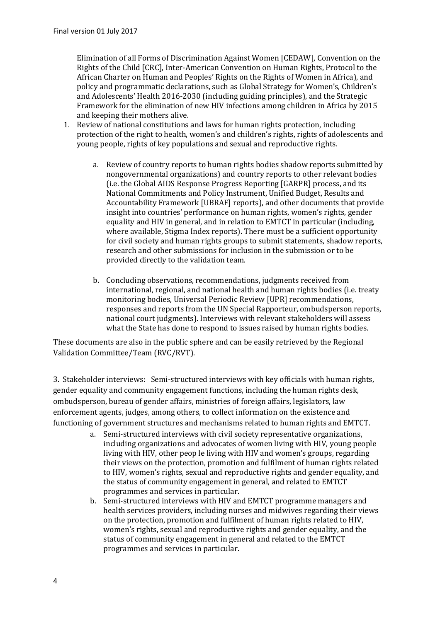Elimination of all Forms of Discrimination Against Women [CEDAW], Convention on the Rights of the Child [CRC], Inter-American Convention on Human Rights, Protocol to the African Charter on Human and Peoples' Rights on the Rights of Women in Africa), and policy and programmatic declarations, such as Global Strategy for Women's, Children's and Adolescents' Health 2016-2030 (including guiding principles), and the Strategic Framework for the elimination of new HIV infections among children in Africa by 2015 and keeping their mothers alive.

- 1. Review of national constitutions and laws for human rights protection, including protection of the right to health, women's and children's rights, rights of adolescents and young people, rights of key populations and sexual and reproductive rights.
	- a. Review of country reports to human rights bodies shadow reports submitted by nongovernmental organizations) and country reports to other relevant bodies (i.e. the Global AIDS Response Progress Reporting [GARPR] process, and its National Commitments and Policy Instrument, Unified Budget, Results and Accountability Framework [UBRAF] reports), and other documents that provide insight into countries' performance on human rights, women's rights, gender equality and HIV in general, and in relation to EMTCT in particular (including, where available, Stigma Index reports). There must be a sufficient opportunity for civil society and human rights groups to submit statements, shadow reports, research and other submissions for inclusion in the submission or to be provided directly to the validation team.
	- b. Concluding observations, recommendations, judgments received from international, regional, and national health and human rights bodies (i.e. treaty monitoring bodies, Universal Periodic Review [UPR] recommendations, responses and reports from the UN Special Rapporteur, ombudsperson reports, national court judgments). Interviews with relevant stakeholders will assess what the State has done to respond to issues raised by human rights bodies.

These documents are also in the public sphere and can be easily retrieved by the Regional Validation Committee/Team (RVC/RVT).

3. Stakeholder interviews: Semi-structured interviews with key officials with human rights, gender equality and community engagement functions, including the human rights desk, ombudsperson, bureau of gender affairs, ministries of foreign affairs, legislators, law enforcement agents, judges, among others, to collect information on the existence and functioning of government structures and mechanisms related to human rights and EMTCT.

- a. Semi-structured interviews with civil society representative organizations, including organizations and advocates of women living with HIV, young people living with HIV, other peop le living with HIV and women's groups, regarding their views on the protection, promotion and fulfilment of human rights related to HIV, women's rights, sexual and reproductive rights and gender equality, and the status of community engagement in general, and related to EMTCT programmes and services in particular.
- b. Semi-structured interviews with HIV and EMTCT programme managers and health services providers, including nurses and midwives regarding their views on the protection, promotion and fulfilment of human rights related to HIV, women's rights, sexual and reproductive rights and gender equality, and the status of community engagement in general and related to the EMTCT programmes and services in particular.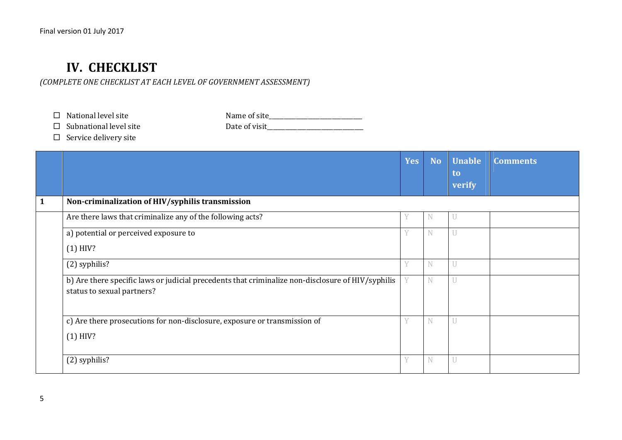## **IV. CHECKLIST**

*(COMPLETE ONE CHECKLIST AT EACH LEVEL OF GOVERNMENT ASSESSMENT)* 

 $\Box$  National level site

 National level site Name of site\_\_\_\_\_\_\_\_\_\_\_\_\_\_\_\_\_\_\_\_\_\_\_\_\_\_\_\_\_\_\_ Date of visit

 $\Box$  Subnational level site  $\Box$  Service delivery site

|              |                                                                                                                                 | <b>Yes</b>    | <b>No</b>   | <b>Unable</b><br><b>to</b><br>verify | <b>Comments</b> |
|--------------|---------------------------------------------------------------------------------------------------------------------------------|---------------|-------------|--------------------------------------|-----------------|
| $\mathbf{1}$ | Non-criminalization of HIV/syphilis transmission                                                                                |               |             |                                      |                 |
|              | Are there laws that criminalize any of the following acts?                                                                      |               | N           | U                                    |                 |
|              | a) potential or perceived exposure to                                                                                           |               | N           | U                                    |                 |
|              | $(1)$ HIV?                                                                                                                      |               |             |                                      |                 |
|              | (2) syphilis?                                                                                                                   | V             | N           | U                                    |                 |
|              | b) Are there specific laws or judicial precedents that criminalize non-disclosure of HIV/syphilis<br>status to sexual partners? |               | $\mathbb N$ | U                                    |                 |
|              | c) Are there prosecutions for non-disclosure, exposure or transmission of                                                       | V             | N           | U                                    |                 |
|              | $(1)$ HIV?                                                                                                                      |               |             |                                      |                 |
|              | (2) syphilis?                                                                                                                   | $\mathcal{I}$ | N           | U                                    |                 |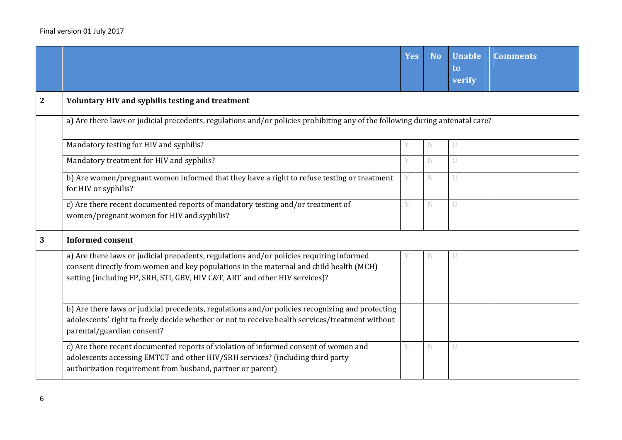|              |                                                                                                                                                                                                                                                                   | <b>Yes</b> | <b>No</b> | <b>Unable</b><br><sub>to</sub><br>verify | <b>Comments</b> |
|--------------|-------------------------------------------------------------------------------------------------------------------------------------------------------------------------------------------------------------------------------------------------------------------|------------|-----------|------------------------------------------|-----------------|
| $\mathbf{2}$ | Voluntary HIV and syphilis testing and treatment                                                                                                                                                                                                                  |            |           |                                          |                 |
|              | a) Are there laws or judicial precedents, regulations and/or policies prohibiting any of the following during antenatal care?                                                                                                                                     |            |           |                                          |                 |
|              | Mandatory testing for HIV and syphilis?                                                                                                                                                                                                                           |            | N         | U                                        |                 |
|              | Mandatory treatment for HIV and syphilis?                                                                                                                                                                                                                         |            | N         | U                                        |                 |
|              | b) Are women/pregnant women informed that they have a right to refuse testing or treatment<br>for HIV or syphilis?                                                                                                                                                |            | N         | U                                        |                 |
|              | c) Are there recent documented reports of mandatory testing and/or treatment of<br>women/pregnant women for HIV and syphilis?                                                                                                                                     | V          | N         | U                                        |                 |
| 3            | <b>Informed consent</b>                                                                                                                                                                                                                                           |            |           |                                          |                 |
|              | a) Are there laws or judicial precedents, regulations and/or policies requiring informed<br>consent directly from women and key populations in the maternal and child health (MCH)<br>setting (including FP, SRH, STI, GBV, HIV C&T, ART and other HIV services)? |            | N         | $\begin{array}{c} \square \end{array}$   |                 |
|              | b) Are there laws or judicial precedents, regulations and/or policies recognizing and protecting<br>adolescents' right to freely decide whether or not to receive health services/treatment without<br>parental/guardian consent?                                 |            |           |                                          |                 |
|              | c) Are there recent documented reports of violation of informed consent of women and<br>adolescents accessing EMTCT and other HIV/SRH services? (including third party<br>authorization requirement from husband, partner or parent)                              |            | N         | U                                        |                 |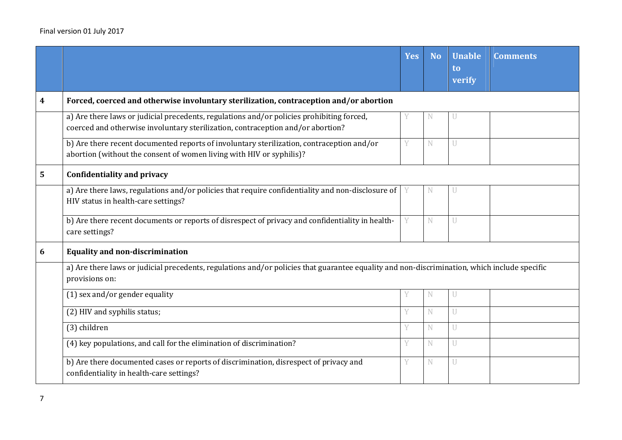|   |                                                                                                                                                                              | <b>Yes</b> | <b>No</b> | <b>Unable</b><br><sub>to</sub><br>verify | <b>Comments</b> |  |  |
|---|------------------------------------------------------------------------------------------------------------------------------------------------------------------------------|------------|-----------|------------------------------------------|-----------------|--|--|
| 4 | Forced, coerced and otherwise involuntary sterilization, contraception and/or abortion                                                                                       |            |           |                                          |                 |  |  |
|   | a) Are there laws or judicial precedents, regulations and/or policies prohibiting forced,<br>coerced and otherwise involuntary sterilization, contraception and/or abortion? |            | N         | U                                        |                 |  |  |
|   | b) Are there recent documented reports of involuntary sterilization, contraception and/or<br>abortion (without the consent of women living with HIV or syphilis)?            |            | N         | $\cup$                                   |                 |  |  |
| 5 | <b>Confidentiality and privacy</b>                                                                                                                                           |            |           |                                          |                 |  |  |
|   | a) Are there laws, regulations and/or policies that require confidentiality and non-disclosure of<br>HIV status in health-care settings?                                     |            | N         | U                                        |                 |  |  |
|   | b) Are there recent documents or reports of disrespect of privacy and confidentiality in health-<br>care settings?                                                           |            | N         | U                                        |                 |  |  |
| 6 | <b>Equality and non-discrimination</b>                                                                                                                                       |            |           |                                          |                 |  |  |
|   | a) Are there laws or judicial precedents, regulations and/or policies that guarantee equality and non-discrimination, which include specific<br>provisions on:               |            |           |                                          |                 |  |  |
|   | $(1)$ sex and/or gender equality                                                                                                                                             |            | N         | U                                        |                 |  |  |
|   | (2) HIV and syphilis status;                                                                                                                                                 |            | N         | $\mathbb{I}$                             |                 |  |  |
|   | (3) children                                                                                                                                                                 | V          | N         | $\overline{U}$                           |                 |  |  |
|   | (4) key populations, and call for the elimination of discrimination?                                                                                                         | V          | N         | $\overline{U}$                           |                 |  |  |
|   | b) Are there documented cases or reports of discrimination, disrespect of privacy and<br>confidentiality in health-care settings?                                            |            | N         | U                                        |                 |  |  |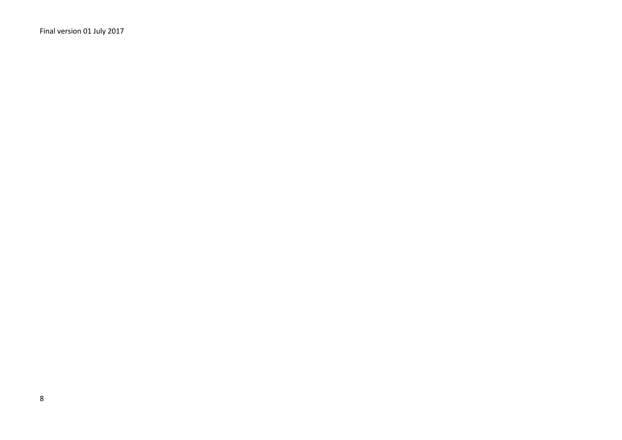Final version 01 July 2017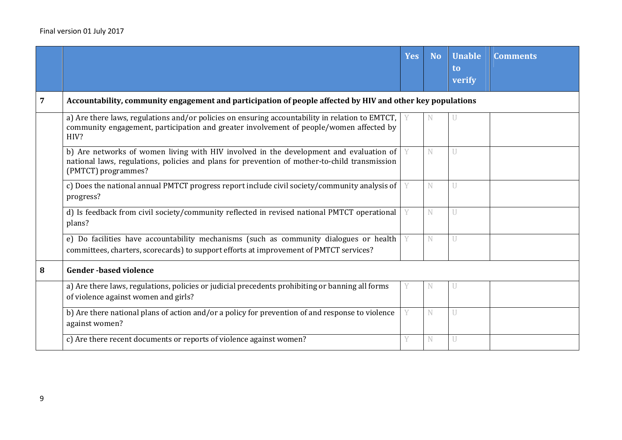|   |                                                                                                                                                                                                                | <b>Yes</b> | <b>No</b> | <b>Unable</b><br><sub>to</sub><br>verify | <b>Comments</b> |  |  |  |
|---|----------------------------------------------------------------------------------------------------------------------------------------------------------------------------------------------------------------|------------|-----------|------------------------------------------|-----------------|--|--|--|
| 7 | Accountability, community engagement and participation of people affected by HIV and other key populations                                                                                                     |            |           |                                          |                 |  |  |  |
|   | a) Are there laws, regulations and/or policies on ensuring accountability in relation to EMTCT,<br>community engagement, participation and greater involvement of people/women affected by<br>HIV?             |            | N         | U                                        |                 |  |  |  |
|   | b) Are networks of women living with HIV involved in the development and evaluation of<br>national laws, regulations, policies and plans for prevention of mother-to-child transmission<br>(PMTCT) programmes? |            | N         | U                                        |                 |  |  |  |
|   | c) Does the national annual PMTCT progress report include civil society/community analysis of<br>progress?                                                                                                     |            | N         | U                                        |                 |  |  |  |
|   | d) Is feedback from civil society/community reflected in revised national PMTCT operational<br>plans?                                                                                                          |            | N         | $\overline{U}$                           |                 |  |  |  |
|   | e) Do facilities have accountability mechanisms (such as community dialogues or health<br>committees, charters, scorecards) to support efforts at improvement of PMTCT services?                               |            | N         | U                                        |                 |  |  |  |
| 8 | <b>Gender-based violence</b>                                                                                                                                                                                   |            |           |                                          |                 |  |  |  |
|   | a) Are there laws, regulations, policies or judicial precedents prohibiting or banning all forms<br>of violence against women and girls?                                                                       |            | N         | U                                        |                 |  |  |  |
|   | b) Are there national plans of action and/or a policy for prevention of and response to violence<br>against women?                                                                                             |            | N         | U                                        |                 |  |  |  |
|   | c) Are there recent documents or reports of violence against women?                                                                                                                                            |            | N         | U                                        |                 |  |  |  |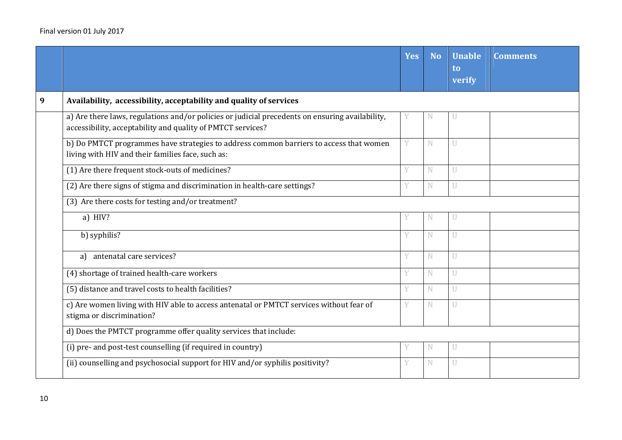|   |                                                                                                                                                                | <b>Yes</b> | <b>No</b> | <b>Unable</b><br>to<br>verify | <b>Comments</b> |
|---|----------------------------------------------------------------------------------------------------------------------------------------------------------------|------------|-----------|-------------------------------|-----------------|
| 9 | Availability, accessibility, acceptability and quality of services                                                                                             |            |           |                               |                 |
|   | a) Are there laws, regulations and/or policies or judicial precedents on ensuring availability,<br>accessibility, acceptability and quality of PMTCT services? |            | N         | U                             |                 |
|   | b) Do PMTCT programmes have strategies to address common barriers to access that women<br>living with HIV and their families face, such as:                    | Y          | N         | U                             |                 |
|   | (1) Are there frequent stock-outs of medicines?                                                                                                                | V          | N         | U                             |                 |
|   | (2) Are there signs of stigma and discrimination in health-care settings?                                                                                      | Y          | N         | U                             |                 |
|   | (3) Are there costs for testing and/or treatment?                                                                                                              |            |           |                               |                 |
|   | a) $HIV?$                                                                                                                                                      |            | N         | U                             |                 |
|   | b) syphilis?                                                                                                                                                   | Y          | N         | U                             |                 |
|   | antenatal care services?<br>a)                                                                                                                                 | Y          | N         | U                             |                 |
|   | (4) shortage of trained health-care workers                                                                                                                    | Y          | N         | U                             |                 |
|   | (5) distance and travel costs to health facilities?                                                                                                            | Y          | N         | $\mathbf{U}$                  |                 |
|   | c) Are women living with HIV able to access antenatal or PMTCT services without fear of<br>stigma or discrimination?                                           | Y          | N         | U                             |                 |
|   | d) Does the PMTCT programme offer quality services that include:                                                                                               |            |           |                               |                 |
|   | (i) pre- and post-test counselling (if required in country)                                                                                                    | Y          | N         | U                             |                 |
|   | (ii) counselling and psychosocial support for HIV and/or syphilis positivity?                                                                                  | Y          | N         | U                             |                 |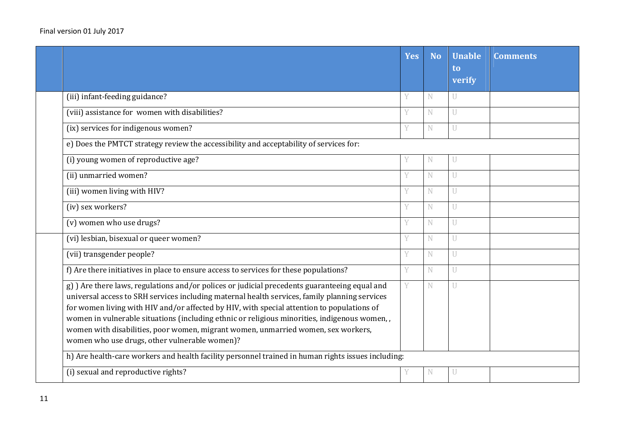#### Final version 01 July 2017

|                                                                                                                                                                                                                                                                                                                                                                                                                                                                                                                                  | <b>Yes</b> | <b>No</b>   | <b>Unable</b><br>to<br>verify | <b>Comments</b> |
|----------------------------------------------------------------------------------------------------------------------------------------------------------------------------------------------------------------------------------------------------------------------------------------------------------------------------------------------------------------------------------------------------------------------------------------------------------------------------------------------------------------------------------|------------|-------------|-------------------------------|-----------------|
| (iii) infant-feeding guidance?                                                                                                                                                                                                                                                                                                                                                                                                                                                                                                   |            | N           | U                             |                 |
| (viii) assistance for women with disabilities?                                                                                                                                                                                                                                                                                                                                                                                                                                                                                   | V          | N           | U                             |                 |
| (ix) services for indigenous women?                                                                                                                                                                                                                                                                                                                                                                                                                                                                                              | V          | $\mathbb N$ | U                             |                 |
| e) Does the PMTCT strategy review the accessibility and acceptability of services for:                                                                                                                                                                                                                                                                                                                                                                                                                                           |            |             |                               |                 |
| (i) young women of reproductive age?                                                                                                                                                                                                                                                                                                                                                                                                                                                                                             |            | N           | $\mathbf{U}$                  |                 |
| (ii) unmarried women?                                                                                                                                                                                                                                                                                                                                                                                                                                                                                                            | V          | N           | U                             |                 |
| (iii) women living with HIV?                                                                                                                                                                                                                                                                                                                                                                                                                                                                                                     | Y          | $\mathbb N$ | U                             |                 |
| (iv) sex workers?                                                                                                                                                                                                                                                                                                                                                                                                                                                                                                                | V          | N           | $\overline{U}$                |                 |
| (v) women who use drugs?                                                                                                                                                                                                                                                                                                                                                                                                                                                                                                         | V          | N           | $\mathbf{U}$                  |                 |
| (vi) lesbian, bisexual or queer women?                                                                                                                                                                                                                                                                                                                                                                                                                                                                                           | V          | N           | $\overline{U}$                |                 |
| (vii) transgender people?                                                                                                                                                                                                                                                                                                                                                                                                                                                                                                        | Y          | $\mathbb N$ | $\overline{U}$                |                 |
| f) Are there initiatives in place to ensure access to services for these populations?                                                                                                                                                                                                                                                                                                                                                                                                                                            | Y          | N           | $\mathbf{U}$                  |                 |
| g) Are there laws, regulations and/or polices or judicial precedents guaranteeing equal and<br>universal access to SRH services including maternal health services, family planning services<br>for women living with HIV and/or affected by HIV, with special attention to populations of<br>women in vulnerable situations (including ethnic or religious minorities, indigenous women,,<br>women with disabilities, poor women, migrant women, unmarried women, sex workers,<br>women who use drugs, other vulnerable women)? | Y          | N           | U                             |                 |
| h) Are health-care workers and health facility personnel trained in human rights issues including:                                                                                                                                                                                                                                                                                                                                                                                                                               |            |             |                               |                 |
| (i) sexual and reproductive rights?                                                                                                                                                                                                                                                                                                                                                                                                                                                                                              |            | N           |                               |                 |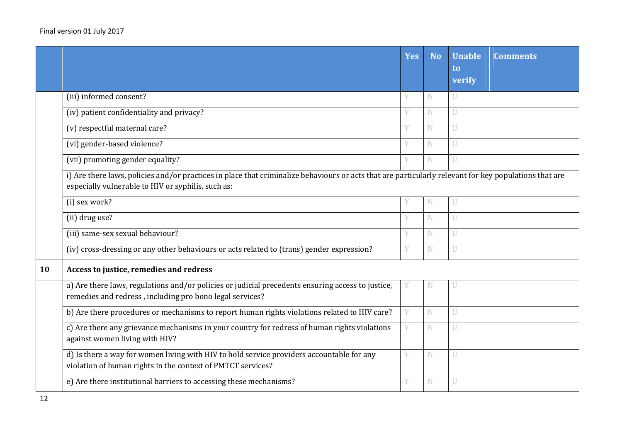|    |                                                                                                                                                                                                             |   | <b>No</b> | <b>Unable</b><br>to | <b>Comments</b> |
|----|-------------------------------------------------------------------------------------------------------------------------------------------------------------------------------------------------------------|---|-----------|---------------------|-----------------|
|    |                                                                                                                                                                                                             |   |           | verify              |                 |
|    | (iii) informed consent?                                                                                                                                                                                     | Y | N         | $\mathbf{U}$        |                 |
|    | (iv) patient confidentiality and privacy?                                                                                                                                                                   | Y | N         | U                   |                 |
|    | (v) respectful maternal care?                                                                                                                                                                               | Y | N         | $\mathbf{U}$        |                 |
|    | (vi) gender-based violence?                                                                                                                                                                                 | Y | N         | $\mathbb{I}$        |                 |
|    | (vii) promoting gender equality?                                                                                                                                                                            | Y | N         | $\mathbb{I}$        |                 |
|    | i) Are there laws, policies and/or practices in place that criminalize behaviours or acts that are particularly relevant for key populations that are<br>especially vulnerable to HIV or syphilis, such as: |   |           |                     |                 |
|    | (i) sex work?                                                                                                                                                                                               | Y | N         | U                   |                 |
|    | (ii) drug use?                                                                                                                                                                                              | Y | N         | $\mathbf{U}$        |                 |
|    | (iii) same-sex sexual behaviour?                                                                                                                                                                            | Y | N         | $\mathbf{I}$        |                 |
|    | (iv) cross-dressing or any other behaviours or acts related to (trans) gender expression?                                                                                                                   | Y | N         | $\mathbf{U}$        |                 |
| 10 | Access to justice, remedies and redress                                                                                                                                                                     |   |           |                     |                 |
|    | a) Are there laws, regulations and/or policies or judicial precedents ensuring access to justice,<br>remedies and redress, including pro bono legal services?                                               |   | N         | U                   |                 |
|    | b) Are there procedures or mechanisms to report human rights violations related to HIV care?                                                                                                                | Y | N         | $\mathbf{I}$        |                 |
|    | c) Are there any grievance mechanisms in your country for redress of human rights violations<br>against women living with HIV?                                                                              | Y | N         | U                   |                 |
|    | d) Is there a way for women living with HIV to hold service providers accountable for any<br>violation of human rights in the context of PMTCT services?                                                    | Y | N         | U                   |                 |
|    | e) Are there institutional barriers to accessing these mechanisms?                                                                                                                                          | Y | N         | U                   |                 |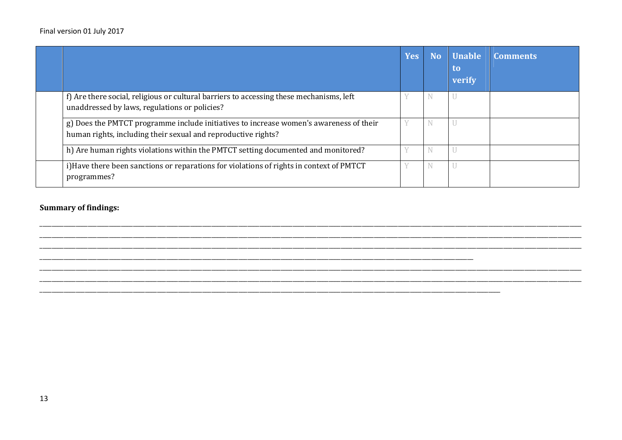#### Final version 01 July 2017

|                                                                                                                                                         | <b>Yes</b> | <b>No</b> | <b>Unable</b><br><sub>to</sub><br>verify | <b>Comments</b> |
|---------------------------------------------------------------------------------------------------------------------------------------------------------|------------|-----------|------------------------------------------|-----------------|
| f) Are there social, religious or cultural barriers to accessing these mechanisms, left<br>unaddressed by laws, regulations or policies?                |            |           |                                          |                 |
| g) Does the PMTCT programme include initiatives to increase women's awareness of their<br>human rights, including their sexual and reproductive rights? |            | N         |                                          |                 |
| h) Are human rights violations within the PMTCT setting documented and monitored?                                                                       |            | N         |                                          |                 |
| i) Have there been sanctions or reparations for violations of rights in context of PMTCT<br>programmes?                                                 |            |           |                                          |                 |

## **Summary of findings:**